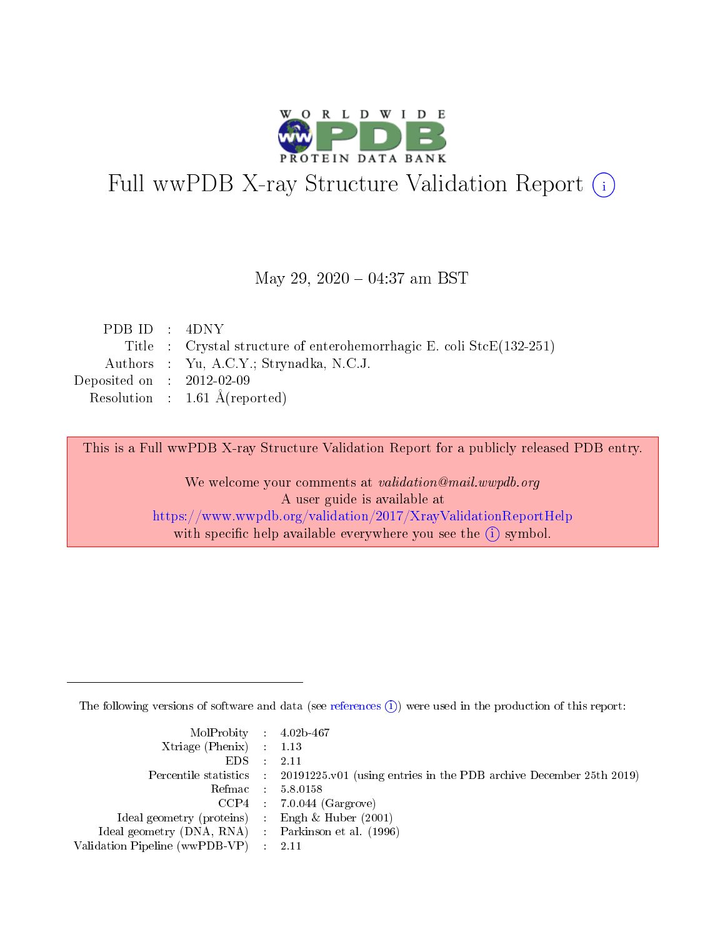

# Full wwPDB X-ray Structure Validation Report (i)

#### May 29, 2020 - 04:37 am BST

| PDB ID : $4DNY$             |                                                                              |
|-----------------------------|------------------------------------------------------------------------------|
|                             | Title : Crystal structure of enterohemorrhagic E. coli $\text{Stc}(132-251)$ |
|                             | Authors : Yu, A.C.Y.; Strynadka, N.C.J.                                      |
| Deposited on : $2012-02-09$ |                                                                              |
|                             | Resolution : $1.61 \text{ Å}$ (reported)                                     |
|                             |                                                                              |

This is a Full wwPDB X-ray Structure Validation Report for a publicly released PDB entry.

We welcome your comments at validation@mail.wwpdb.org A user guide is available at <https://www.wwpdb.org/validation/2017/XrayValidationReportHelp> with specific help available everywhere you see the  $(i)$  symbol.

The following versions of software and data (see [references](https://www.wwpdb.org/validation/2017/XrayValidationReportHelp#references)  $(i)$ ) were used in the production of this report:

| MolProbity : 4.02b-467                              |                                                                                            |
|-----------------------------------------------------|--------------------------------------------------------------------------------------------|
| $Xtriangle (Phenix)$ : 1.13                         |                                                                                            |
| $EDS = 2.11$                                        |                                                                                            |
|                                                     | Percentile statistics : 20191225.v01 (using entries in the PDB archive December 25th 2019) |
|                                                     | Refmac : 5.8.0158                                                                          |
|                                                     | $CCP4$ 7.0.044 (Gargrove)                                                                  |
| Ideal geometry (proteins) : Engh $\&$ Huber (2001)  |                                                                                            |
| Ideal geometry (DNA, RNA) : Parkinson et al. (1996) |                                                                                            |
| Validation Pipeline (wwPDB-VP) : 2.11               |                                                                                            |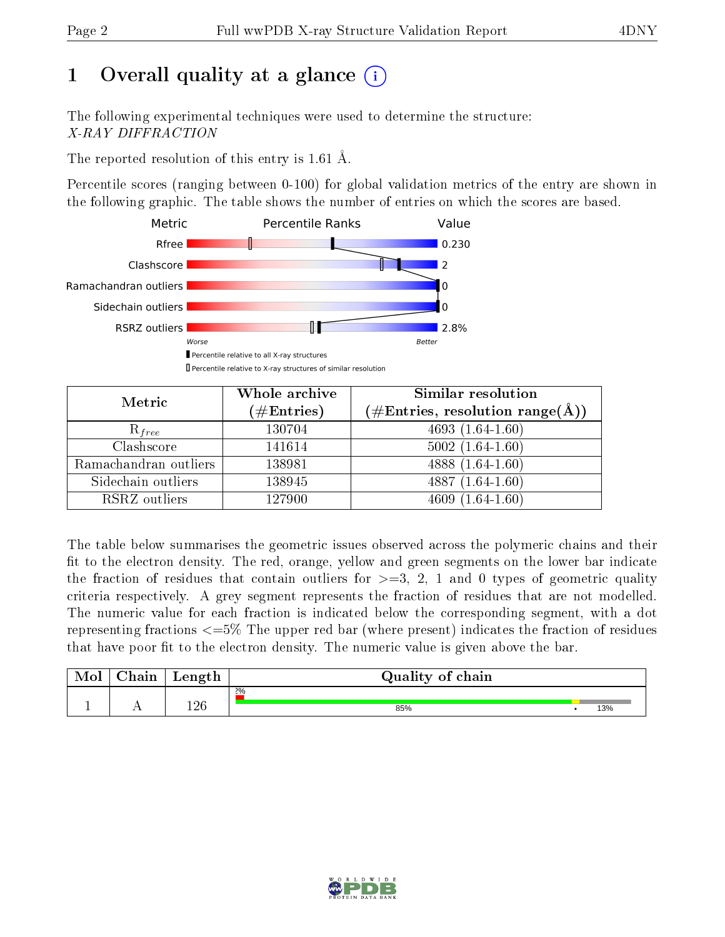## 1 [O](https://www.wwpdb.org/validation/2017/XrayValidationReportHelp#overall_quality)verall quality at a glance  $(i)$

The following experimental techniques were used to determine the structure: X-RAY DIFFRACTION

The reported resolution of this entry is 1.61 Å.

Percentile scores (ranging between 0-100) for global validation metrics of the entry are shown in the following graphic. The table shows the number of entries on which the scores are based.



| Metric                | Whole archive<br>$(\#\mathrm{Entries})$ | Similar resolution<br>$(\#\text{Entries}, \text{resolution range}(\AA))$ |
|-----------------------|-----------------------------------------|--------------------------------------------------------------------------|
| $R_{free}$            | 130704                                  | $4693(1.64-1.60)$                                                        |
| Clashscore            | 141614                                  | $5002(1.64-1.60)$                                                        |
| Ramachandran outliers | 138981                                  | 4888 $(1.64 - 1.60)$                                                     |
| Sidechain outliers    | 138945                                  | $4887(1.64-1.60)$                                                        |
| RSRZ outliers         | 127900                                  | $4609(1.64-1.60)$                                                        |

The table below summarises the geometric issues observed across the polymeric chains and their fit to the electron density. The red, orange, yellow and green segments on the lower bar indicate the fraction of residues that contain outliers for  $>=3, 2, 1$  and 0 types of geometric quality criteria respectively. A grey segment represents the fraction of residues that are not modelled. The numeric value for each fraction is indicated below the corresponding segment, with a dot representing fractions  $\epsilon=5\%$  The upper red bar (where present) indicates the fraction of residues that have poor fit to the electron density. The numeric value is given above the bar.

| Mol | $\cap$ hain | Length | Quality of chain |     |
|-----|-------------|--------|------------------|-----|
|     |             |        | $2\%$            |     |
|     |             | 196    | 85%              | 13% |

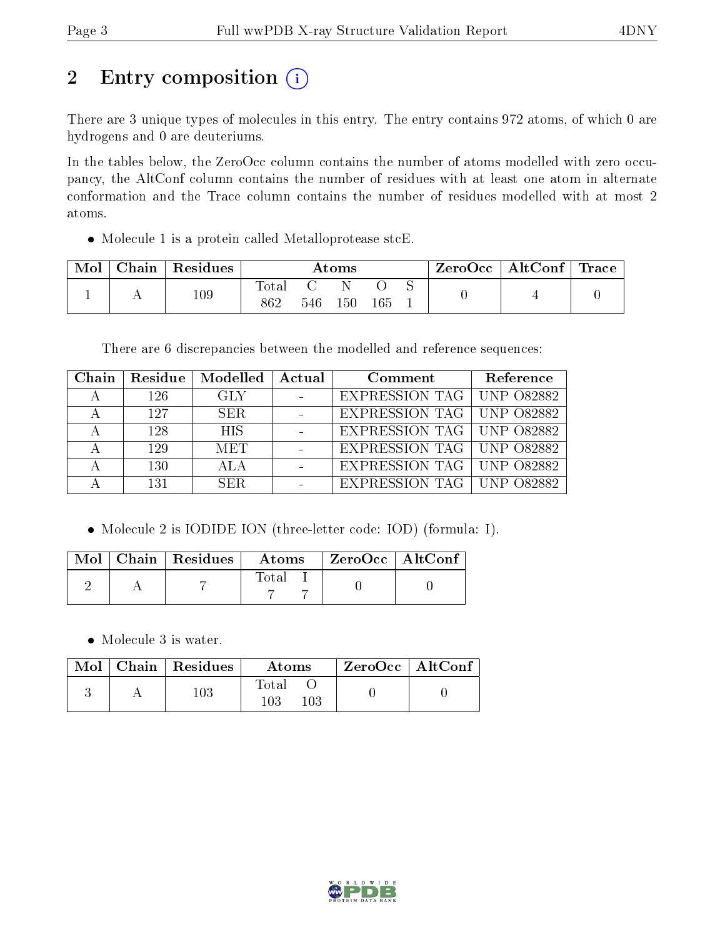# 2 Entry composition (i)

There are 3 unique types of molecules in this entry. The entry contains 972 atoms, of which 0 are hydrogens and 0 are deuteriums.

In the tables below, the ZeroOcc column contains the number of atoms modelled with zero occupancy, the AltConf column contains the number of residues with at least one atom in alternate conformation and the Trace column contains the number of residues modelled with at most 2 atoms.

Molecule 1 is a protein called Metalloprotease stcE.

| Mol | Chain   Residues | Atoms                 |     |     | $\text{ZeroOcc} \mid \text{AltConf} \mid \text{Trace}$ |  |  |  |
|-----|------------------|-----------------------|-----|-----|--------------------------------------------------------|--|--|--|
|     | 109              | $\text{Total}$<br>862 | 546 | 150 | 165                                                    |  |  |  |

There are 6 discrepancies between the modelled and reference sequences:

| Chain | Residue | Modelled   | Actual | Comment                            | Reference |
|-------|---------|------------|--------|------------------------------------|-----------|
|       | 126     | <b>GLY</b> |        | <b>EXPRESSION TAG   UNP 082882</b> |           |
|       | 127     | SER.       |        | EXPRESSION TAG   UNP 082882        |           |
|       | 128     | <b>HIS</b> |        | <b>EXPRESSION TAG   UNP 082882</b> |           |
|       | 129     | <b>MET</b> |        | EXPRESSION TAG   UNP 082882        |           |
|       | 130     |            |        | EXPRESSION TAG   UNP 082882        |           |
|       | 131     | SER.       |        | EXPRESSION TAG   UNP 082882        |           |

Molecule 2 is IODIDE ION (three-letter code: IOD) (formula: I).

|  | $\sqrt{\text{Mol} \top \text{Chain}} \mid \text{Residues} \mid \sqrt{\text{Mol} \top \text{Chain}}$ | $\boldsymbol{\mathrm{Atoms}}$ | $\perp$ ZeroOcc $\parallel$ AltConf |  |
|--|-----------------------------------------------------------------------------------------------------|-------------------------------|-------------------------------------|--|
|  |                                                                                                     | Total                         |                                     |  |

• Molecule 3 is water.

|  | $\text{Mol}$   Chain   Residues | Atoms               | $ZeroOcc \mid AltConf \mid$ |
|--|---------------------------------|---------------------|-----------------------------|
|  | 103                             | Total<br>103<br>103 |                             |

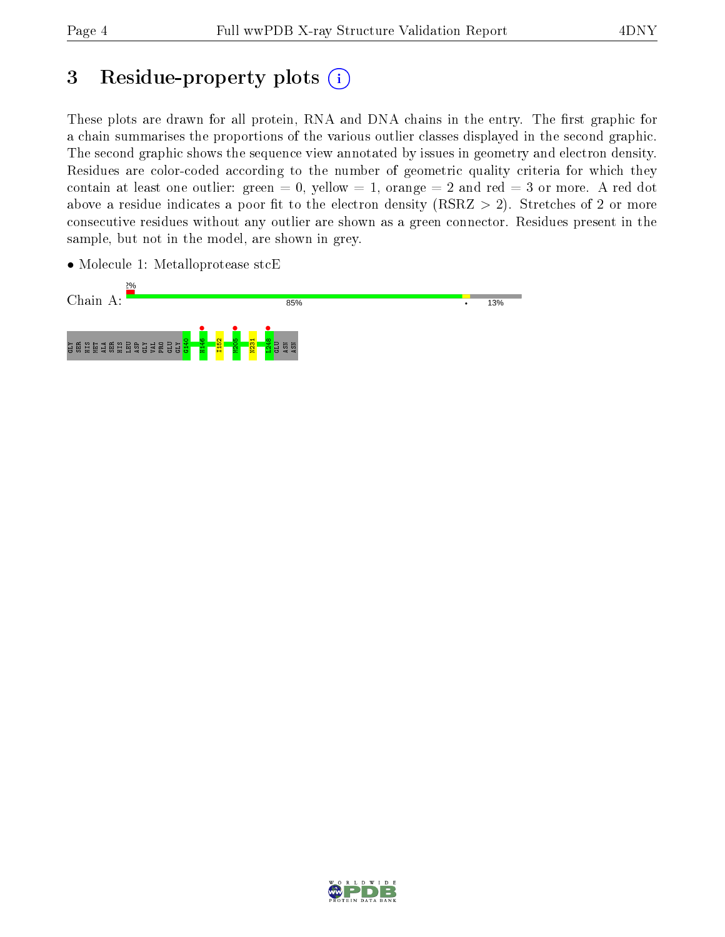## 3 Residue-property plots  $(i)$

These plots are drawn for all protein, RNA and DNA chains in the entry. The first graphic for a chain summarises the proportions of the various outlier classes displayed in the second graphic. The second graphic shows the sequence view annotated by issues in geometry and electron density. Residues are color-coded according to the number of geometric quality criteria for which they contain at least one outlier: green  $= 0$ , yellow  $= 1$ , orange  $= 2$  and red  $= 3$  or more. A red dot above a residue indicates a poor fit to the electron density (RSRZ  $> 2$ ). Stretches of 2 or more consecutive residues without any outlier are shown as a green connector. Residues present in the sample, but not in the model, are shown in grey.

- Chain A: 85% 13% H<sub>146</sub> • **•**<br>M205  $\frac{1248}{n}$ G140 I152 N231 GLY SER HIS MET ALA SER HIS LEU ASP GLY VAL PRO GLU GLY GLU ASN ASN
- Molecule 1: Metalloprotease stcE

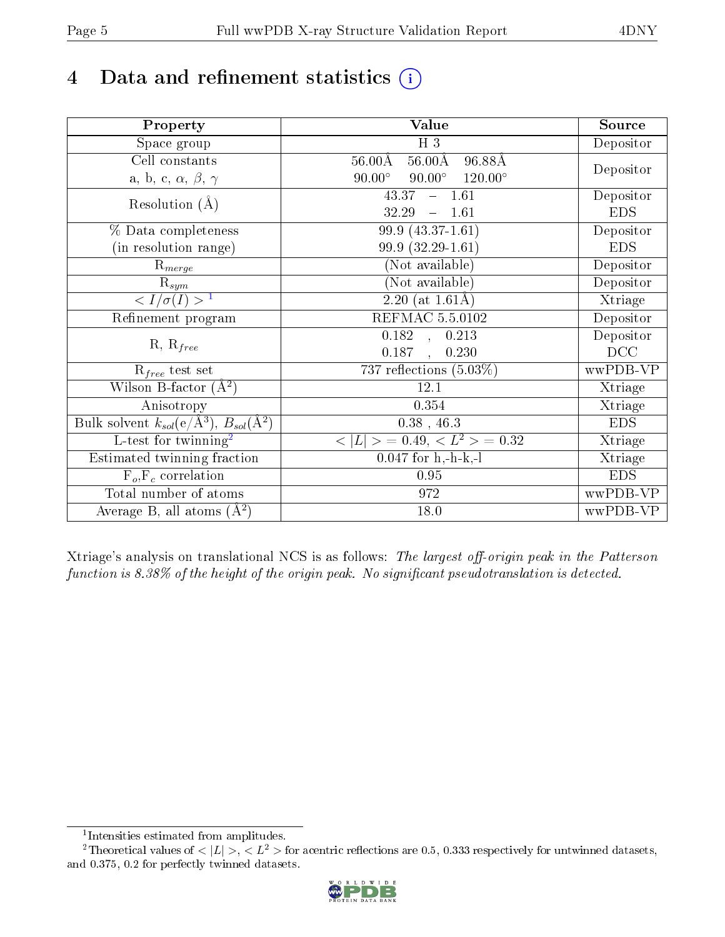# 4 Data and refinement statistics  $(i)$

| Property                                                             | Value                                            | Source     |
|----------------------------------------------------------------------|--------------------------------------------------|------------|
| Space group                                                          | H <sub>3</sub>                                   | Depositor  |
| Cell constants                                                       | $56.00\text{\AA}$<br>96.88Å<br>$56.00\text{\AA}$ |            |
| a, b, c, $\alpha$ , $\beta$ , $\gamma$                               | $90.00^\circ$<br>$90.00^\circ$<br>$120.00^\circ$ | Depositor  |
| Resolution $(A)$                                                     | $-1.61$<br>43.37                                 | Depositor  |
|                                                                      | 32.29<br>$-1.61$                                 | <b>EDS</b> |
| % Data completeness                                                  | $99.9(43.37-1.61)$                               | Depositor  |
| (in resolution range)                                                | 99.9 (32.29-1.61)                                | <b>EDS</b> |
| $\mathrm{R}_{merge}$                                                 | (Not available)                                  | Depositor  |
| $\mathrm{R}_{sym}$                                                   | (Not available)                                  | Depositor  |
| $\langle I/\sigma(I) \rangle^{-1}$                                   | $\overline{2.20}$ (at 1.61Å)                     | Xtriage    |
| Refinement program                                                   | <b>REFMAC 5.5.0102</b>                           | Depositor  |
|                                                                      | $\overline{0.182}$ ,<br>0.213                    | Depositor  |
| $R, R_{free}$                                                        | 0.187<br>0.230<br>$\ddot{\phantom{a}}$           | DCC        |
| $R_{free}$ test set                                                  | 737 reflections $(5.03\%)$                       | wwPDB-VP   |
| Wilson B-factor $(A^2)$                                              | 12.1                                             | Xtriage    |
| Anisotropy                                                           | 0.354                                            | Xtriage    |
| Bulk solvent $k_{sol}(e/\mathring{A}^3)$ , $B_{sol}(\mathring{A}^2)$ | $0.38$ , 46.3                                    | <b>EDS</b> |
| $\overline{L-test for}$ twinning <sup>2</sup>                        | $< L >$ = 0.49, $< L2$ = 0.32                    | Xtriage    |
| Estimated twinning fraction                                          | $0.047$ for h,-h-k,-l                            | Xtriage    |
| $F_o, F_c$ correlation                                               | 0.95                                             | <b>EDS</b> |
| Total number of atoms                                                | 972                                              | wwPDB-VP   |
| Average B, all atoms $(A^2)$                                         | 18.0                                             | wwPDB-VP   |

Xtriage's analysis on translational NCS is as follows: The largest off-origin peak in the Patterson function is  $8.38\%$  of the height of the origin peak. No significant pseudotranslation is detected.

<sup>&</sup>lt;sup>2</sup>Theoretical values of  $\langle |L| \rangle$ ,  $\langle L^2 \rangle$  for acentric reflections are 0.5, 0.333 respectively for untwinned datasets, and 0.375, 0.2 for perfectly twinned datasets.



<span id="page-4-1"></span><span id="page-4-0"></span><sup>1</sup> Intensities estimated from amplitudes.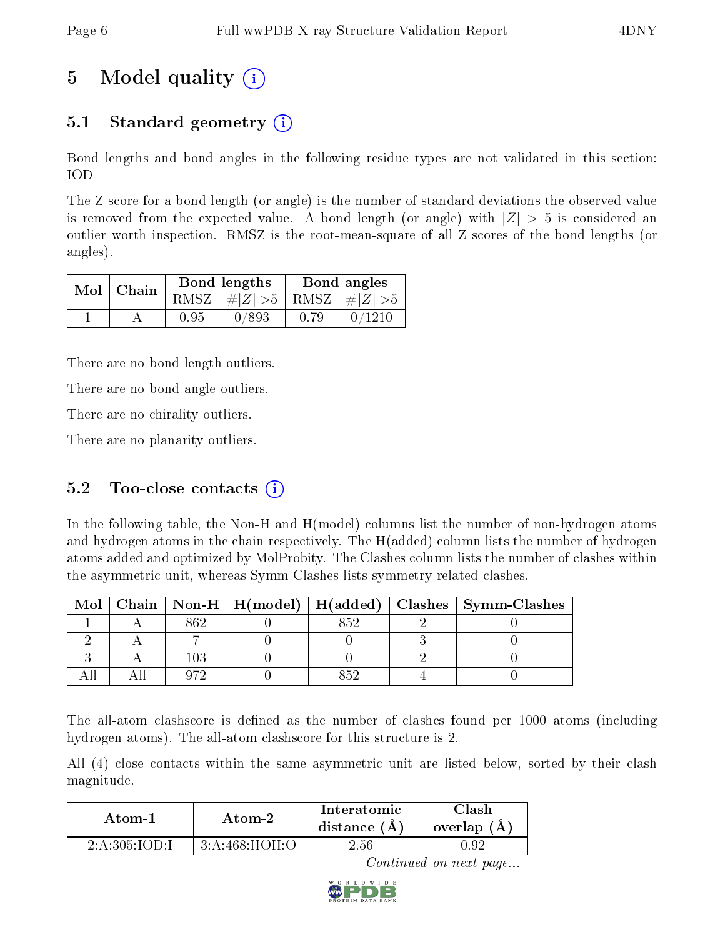## 5 Model quality  $(i)$

### 5.1 Standard geometry (i)

Bond lengths and bond angles in the following residue types are not validated in this section: IOD

The Z score for a bond length (or angle) is the number of standard deviations the observed value is removed from the expected value. A bond length (or angle) with  $|Z| > 5$  is considered an outlier worth inspection. RMSZ is the root-mean-square of all Z scores of the bond lengths (or angles).

|  | $Mol$   Chain |      | Bond lengths                    | Bond angles |        |  |
|--|---------------|------|---------------------------------|-------------|--------|--|
|  |               |      | RMSZ $ #Z  > 5$ RMSZ $ #Z  > 5$ |             |        |  |
|  |               | 0.95 | 0/893                           | 0.79        | 0/1210 |  |

There are no bond length outliers.

There are no bond angle outliers.

There are no chirality outliers.

There are no planarity outliers.

### 5.2 Too-close contacts  $(i)$

In the following table, the Non-H and H(model) columns list the number of non-hydrogen atoms and hydrogen atoms in the chain respectively. The H(added) column lists the number of hydrogen atoms added and optimized by MolProbity. The Clashes column lists the number of clashes within the asymmetric unit, whereas Symm-Clashes lists symmetry related clashes.

| Mol |     |  | Chain   Non-H   H(model)   H(added)   Clashes   Symm-Clashes |
|-----|-----|--|--------------------------------------------------------------|
|     |     |  |                                                              |
|     |     |  |                                                              |
|     | 103 |  |                                                              |
|     |     |  |                                                              |

The all-atom clashscore is defined as the number of clashes found per 1000 atoms (including hydrogen atoms). The all-atom clashscore for this structure is 2.

All (4) close contacts within the same asymmetric unit are listed below, sorted by their clash magnitude.

| Atom-1        | Atom-2        |      | Clash<br>overlap $(A)$ |  |
|---------------|---------------|------|------------------------|--|
| 2:A:305:IOD:1 | 3:A:468:HOH:O | 2.56 | .92                    |  |

Continued on next page...

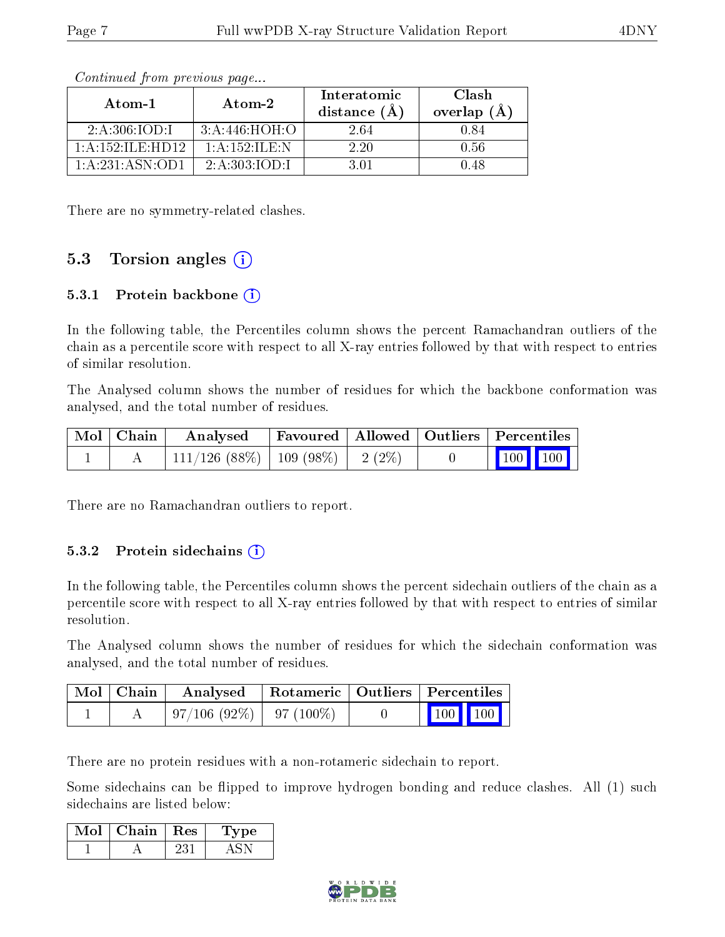| Atom-1                     | Atom-2          | Interatomic<br>distance $(\AA)$ | Clash<br>overlap $(\AA)$ |
|----------------------------|-----------------|---------------------------------|--------------------------|
| 2:A:306:IOD:1              | 3:A:446:HOH:O   | 2.64                            | 0.84                     |
| 1: A : 152: IL E : HD 12 . | 1: A:152: ILE:N | 2.20                            | 0.56                     |
| 1:A:231:ASN:OD1            | 2:A:303:IOD:I   | 3 01                            | 1.48                     |

Continued from previous page...

There are no symmetry-related clashes.

#### 5.3 Torsion angles  $(i)$

#### 5.3.1 Protein backbone (i)

In the following table, the Percentiles column shows the percent Ramachandran outliers of the chain as a percentile score with respect to all X-ray entries followed by that with respect to entries of similar resolution.

The Analysed column shows the number of residues for which the backbone conformation was analysed, and the total number of residues.

| Mol   Chain | Analysed   Favoured   Allowed   Outliers   Percentiles |  |  |                   |  |
|-------------|--------------------------------------------------------|--|--|-------------------|--|
|             | 111/126 (88%)   109 (98%)   2 (2%)                     |  |  | $\boxed{100}$ 100 |  |

There are no Ramachandran outliers to report.

#### 5.3.2 Protein sidechains  $(i)$

In the following table, the Percentiles column shows the percent sidechain outliers of the chain as a percentile score with respect to all X-ray entries followed by that with respect to entries of similar resolution.

The Analysed column shows the number of residues for which the sidechain conformation was analysed, and the total number of residues.

| $\mid$ Mol $\mid$ Chain $\mid$ | Analysed   Rotameric   Outliers   Percentiles |  |                                                            |  |
|--------------------------------|-----------------------------------------------|--|------------------------------------------------------------|--|
|                                | $\mid 97/106 \; (92\%) \mid 97 \; (100\%)$    |  | $\begin{array}{ c c c c }\n\hline\n100 & 100\n\end{array}$ |  |

There are no protein residues with a non-rotameric sidechain to report.

Some sidechains can be flipped to improve hydrogen bonding and reduce clashes. All (1) such sidechains are listed below:

| Mol | Chain - | $\perp$ Res | Lype |
|-----|---------|-------------|------|
|     |         |             |      |

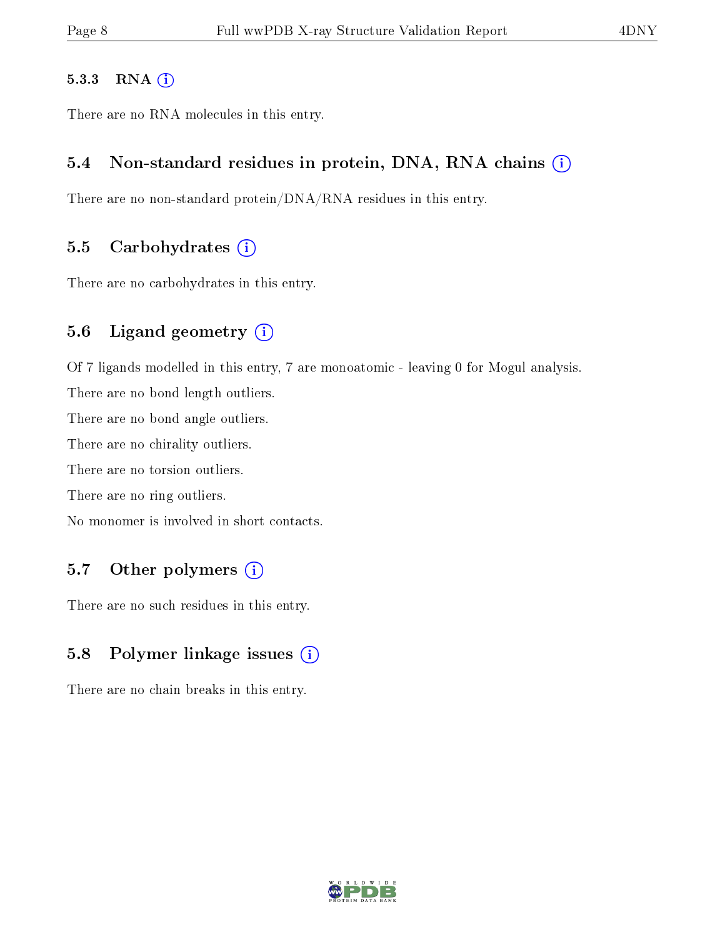#### 5.3.3 RNA (i)

There are no RNA molecules in this entry.

#### 5.4 Non-standard residues in protein, DNA, RNA chains (i)

There are no non-standard protein/DNA/RNA residues in this entry.

#### 5.5 Carbohydrates  $(i)$

There are no carbohydrates in this entry.

#### 5.6 Ligand geometry (i)

Of 7 ligands modelled in this entry, 7 are monoatomic - leaving 0 for Mogul analysis. There are no bond length outliers. There are no bond angle outliers. There are no chirality outliers. There are no torsion outliers. There are no ring outliers. No monomer is involved in short contacts.

### 5.7 [O](https://www.wwpdb.org/validation/2017/XrayValidationReportHelp#nonstandard_residues_and_ligands)ther polymers  $(i)$

There are no such residues in this entry.

### 5.8 Polymer linkage issues  $(i)$

There are no chain breaks in this entry.

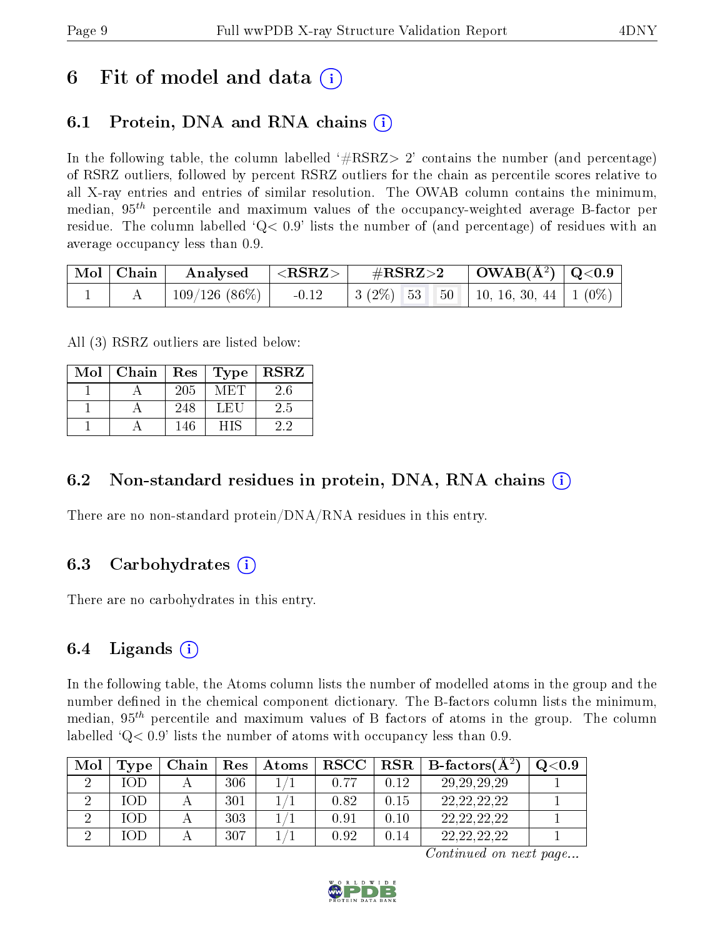### 6 Fit of model and data  $\left( \cdot \right)$

### 6.1 Protein, DNA and RNA chains (i)

In the following table, the column labelled  $#RSRZ>2'$  contains the number (and percentage) of RSRZ outliers, followed by percent RSRZ outliers for the chain as percentile scores relative to all X-ray entries and entries of similar resolution. The OWAB column contains the minimum, median,  $95<sup>th</sup>$  percentile and maximum values of the occupancy-weighted average B-factor per residue. The column labelled  $Q < 0.9$  lists the number of (and percentage) of residues with an average occupancy less than 0.9.

|  |  | $\begin{array}{ c c c c c c }\hline \text{Mol} & \text{Chain} & \text{Analysed} & <\text{RSRZ}> & \#\text{RSRZ}>2 & \text{OWAB(A^2)} & \text{Q<0.9}\hline \end{array}$ |  |
|--|--|------------------------------------------------------------------------------------------------------------------------------------------------------------------------|--|
|  |  | $109/126$ (86\%)   -0.12   3 (2\%) 53 50   10, 16, 30, 44   1 (0\%)                                                                                                    |  |

All (3) RSRZ outliers are listed below:

| Mol | Chain | Res | Type | $\operatorname{\bf RSRZ}$ |
|-----|-------|-----|------|---------------------------|
|     |       | 205 | -MET | 2.6                       |
|     |       | 248 | LEU  | 2.5                       |
|     |       | 146 | HIS  | 22                        |

### 6.2 Non-standard residues in protein, DNA, RNA chains  $(i)$

There are no non-standard protein/DNA/RNA residues in this entry.

### 6.3 Carbohydrates (i)

There are no carbohydrates in this entry.

### 6.4 Ligands  $(i)$

In the following table, the Atoms column lists the number of modelled atoms in the group and the number defined in the chemical component dictionary. The B-factors column lists the minimum, median,  $95<sup>th</sup>$  percentile and maximum values of B factors of atoms in the group. The column labelled  $Q< 0.9$ ' lists the number of atoms with occupancy less than 0.9.

| Mol | Type      | Chain | Res | Atoms | RSCC |      | $\parallel \text{RSR} \parallel \text{B-factors}(\text{A}^2)$ | Q <sub>0.9</sub> |
|-----|-----------|-------|-----|-------|------|------|---------------------------------------------------------------|------------------|
|     | IOD       |       | 306 |       | 0.77 | 0.12 | 29, 29, 29, 29                                                |                  |
|     | 1 ( ) I ) |       | 301 |       | 0.82 | 0.15 | 22, 22, 22, 22                                                |                  |
|     | IOD       |       | 303 |       | 0.91 | 0.10 | 22, 22, 22, 22                                                |                  |
|     |           |       | 307 |       | 0.92 | 0.14 |                                                               |                  |

Continued on next page...